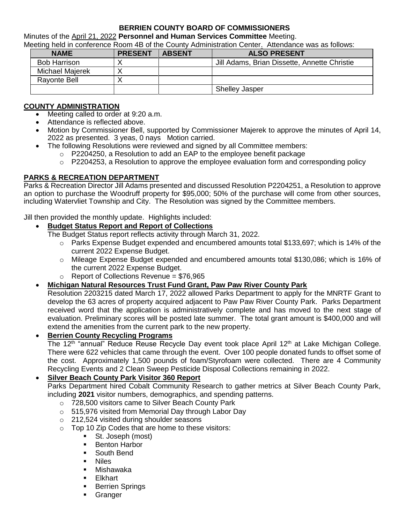#### **BERRIEN COUNTY BOARD OF COMMISSIONERS**

Minutes of the April 21, 2022 **Personnel and Human Services Committee** Meeting.

Meeting held in conference Room 4B of the County Administration Center. Attendance was as follows:

| <b>NAME</b>         | <b>PRESENT</b> | <b>ABSENT</b> | <b>ALSO PRESENT</b>                          |
|---------------------|----------------|---------------|----------------------------------------------|
| <b>Bob Harrison</b> |                |               | Jill Adams, Brian Dissette, Annette Christie |
| Michael Majerek     |                |               |                                              |
| <b>Rayonte Bell</b> |                |               |                                              |
|                     |                |               | <b>Shelley Jasper</b>                        |

# **COUNTY ADMINISTRATION**

- Meeting called to order at 9:20 a.m.
- Attendance is reflected above.
- Motion by Commissioner Bell, supported by Commissioner Majerek to approve the minutes of April 14, 2022 as presented. 3 yeas, 0 nays Motion carried.
- The following Resolutions were reviewed and signed by all Committee members:
	- o P2204250, a Resolution to add an EAP to the employee benefit package
	- $\circ$  P2204253, a Resolution to approve the employee evaluation form and corresponding policy

# **PARKS & RECREATION DEPARTMENT**

Parks & Recreation Director Jill Adams presented and discussed Resolution P2204251, a Resolution to approve an option to purchase the Woodruff property for \$95,000; 50% of the purchase will come from other sources, including Watervliet Township and City. The Resolution was signed by the Committee members.

Jill then provided the monthly update. Highlights included:

## **Budget Status Report and Report of Collections**

- The Budget Status report reflects activity through March 31, 2022.
	- o Parks Expense Budget expended and encumbered amounts total \$133,697; which is 14% of the current 2022 Expense Budget.
	- o Mileage Expense Budget expended and encumbered amounts total \$130,086; which is 16% of the current 2022 Expense Budget.
	- $\circ$  Report of Collections Revenue = \$76,965
- **Michigan Natural Resources Trust Fund Grant, Paw Paw River County Park**

Resolution 2203215 dated March 17, 2022 allowed Parks Department to apply for the MNRTF Grant to develop the 63 acres of property acquired adjacent to Paw Paw River County Park. Parks Department received word that the application is administratively complete and has moved to the next stage of evaluation. Preliminary scores will be posted late summer. The total grant amount is \$400,000 and will extend the amenities from the current park to the new property.

## **Berrien County Recycling Programs**

The 12<sup>th</sup> "annual" Reduce Reuse Recycle Day event took place April 12<sup>th</sup> at Lake Michigan College. There were 622 vehicles that came through the event. Over 100 people donated funds to offset some of the cost. Approximately 1,500 pounds of foam/Styrofoam were collected. There are 4 Community Recycling Events and 2 Clean Sweep Pesticide Disposal Collections remaining in 2022.

## **Silver Beach County Park Visitor 360 Report**

Parks Department hired Cobalt Community Research to gather metrics at Silver Beach County Park, including **2021** visitor numbers, demographics, and spending patterns.

- o 728,500 visitors came to Silver Beach County Park
- o 515,976 visited from Memorial Day through Labor Day
- o 212,524 visited during shoulder seasons
- o Top 10 Zip Codes that are home to these visitors:
	- St. Joseph (most)
	- **Benton Harbor**
	- South Bend
	- **Niles**
	- Mishawaka
	- **Elkhart**
	- **Berrien Springs**
	- **Granger**